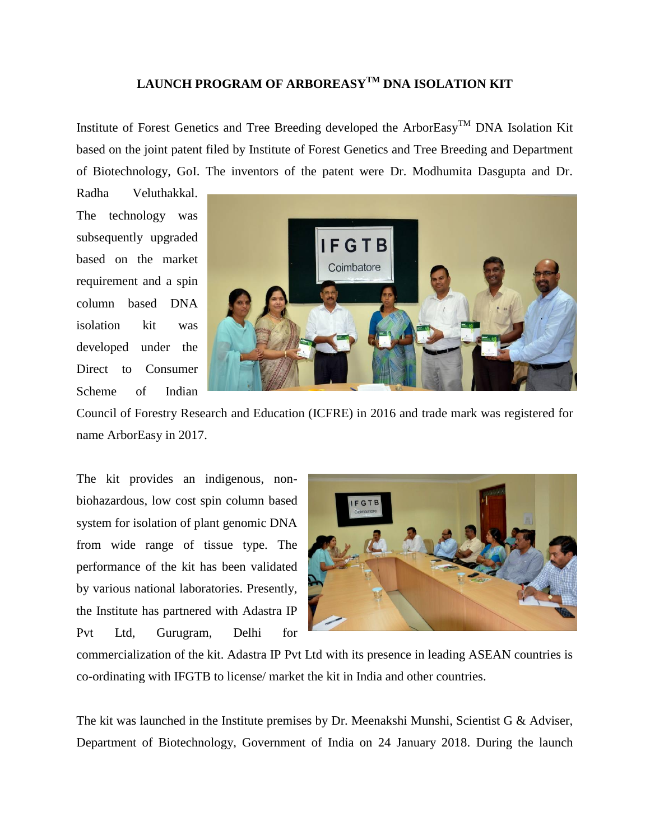## **LAUNCH PROGRAM OF ARBOREASYTM DNA ISOLATION KIT**

Institute of Forest Genetics and Tree Breeding developed the ArborEasy<sup>TM</sup> DNA Isolation Kit based on the joint patent filed by Institute of Forest Genetics and Tree Breeding and Department of Biotechnology, GoI. The inventors of the patent were Dr. Modhumita Dasgupta and Dr.

Radha Veluthakkal. The technology was subsequently upgraded based on the market requirement and a spin column based DNA isolation kit was developed under the Direct to Consumer Scheme of Indian



Council of Forestry Research and Education (ICFRE) in 2016 and trade mark was registered for name ArborEasy in 2017.

The kit provides an indigenous, nonbiohazardous, low cost spin column based system for isolation of plant genomic DNA from wide range of tissue type. The performance of the kit has been validated by various national laboratories. Presently, the Institute has partnered with Adastra IP Pvt Ltd, Gurugram, Delhi for



commercialization of the kit. Adastra IP Pvt Ltd with its presence in leading ASEAN countries is co-ordinating with IFGTB to license/ market the kit in India and other countries.

The kit was launched in the Institute premises by Dr. Meenakshi Munshi, Scientist G & Adviser, Department of Biotechnology, Government of India on 24 January 2018. During the launch